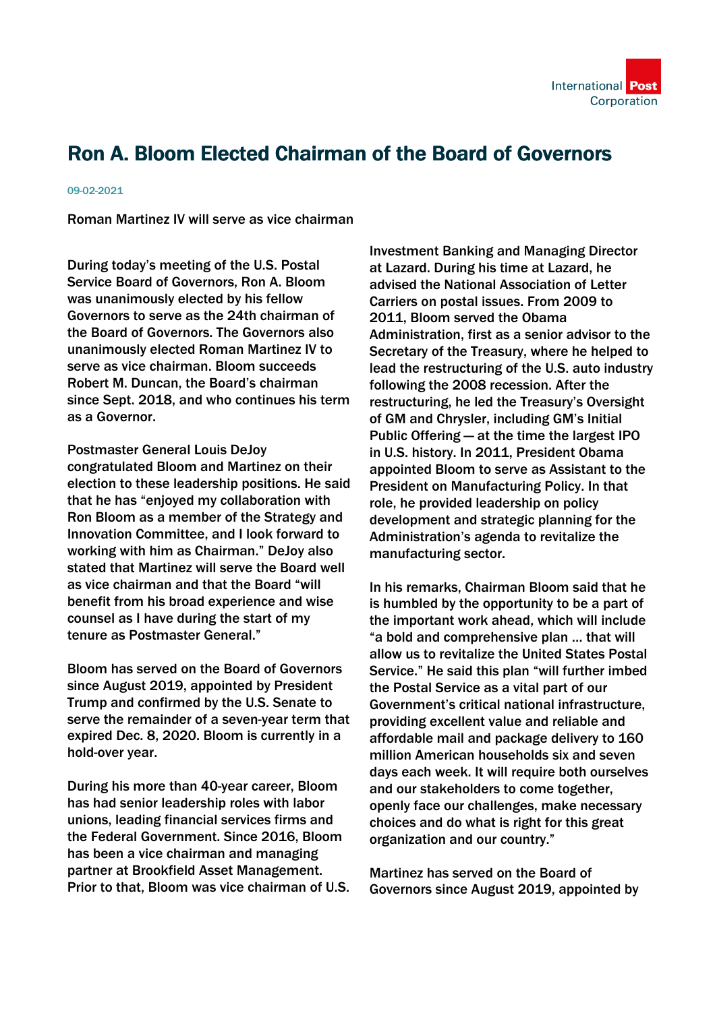## Ron A. Bloom Elected Chairman of the Board of Governors

## 09-02-2021

Roman Martinez IV will serve as vice chairman

During today's meeting of the U.S. Postal Service Board of Governors, Ron A. Bloom was unanimously elected by his fellow Governors to serve as the 24th chairman of the Board of Governors. The Governors also unanimously elected Roman Martinez IV to serve as vice chairman. Bloom succeeds Robert M. Duncan, the Board's chairman since Sept. 2018, and who continues his term as a Governor.

Postmaster General Louis DeJoy congratulated Bloom and Martinez on their election to these leadership positions. He said that he has "enjoyed my collaboration with Ron Bloom as a member of the Strategy and Innovation Committee, and I look forward to working with him as Chairman." DeJoy also stated that Martinez will serve the Board well as vice chairman and that the Board "will benefit from his broad experience and wise counsel as I have during the start of my tenure as Postmaster General."

Bloom has served on the Board of Governors since August 2019, appointed by President Trump and confirmed by the U.S. Senate to serve the remainder of a seven-year term that expired Dec. 8, 2020. Bloom is currently in a hold-over year.

During his more than 40-year career, Bloom has had senior leadership roles with labor unions, leading financial services firms and the Federal Government. Since 2016, Bloom has been a vice chairman and managing partner at Brookfield Asset Management. Prior to that, Bloom was vice chairman of U.S. Investment Banking and Managing Director at Lazard. During his time at Lazard, he advised the National Association of Letter Carriers on postal issues. From 2009 to 2011, Bloom served the Obama Administration, first as a senior advisor to the Secretary of the Treasury, where he helped to lead the restructuring of the U.S. auto industry following the 2008 recession. After the restructuring, he led the Treasury's Oversight of GM and Chrysler, including GM's Initial Public Offering — at the time the largest IPO in U.S. history. In 2011, President Obama appointed Bloom to serve as Assistant to the President on Manufacturing Policy. In that role, he provided leadership on policy development and strategic planning for the Administration's agenda to revitalize the manufacturing sector.

In his remarks, Chairman Bloom said that he is humbled by the opportunity to be a part of the important work ahead, which will include "a bold and comprehensive plan … that will allow us to revitalize the United States Postal Service." He said this plan "will further imbed the Postal Service as a vital part of our Government's critical national infrastructure, providing excellent value and reliable and affordable mail and package delivery to 160 million American households six and seven days each week. It will require both ourselves and our stakeholders to come together, openly face our challenges, make necessary choices and do what is right for this great organization and our country."

Martinez has served on the Board of Governors since August 2019, appointed by